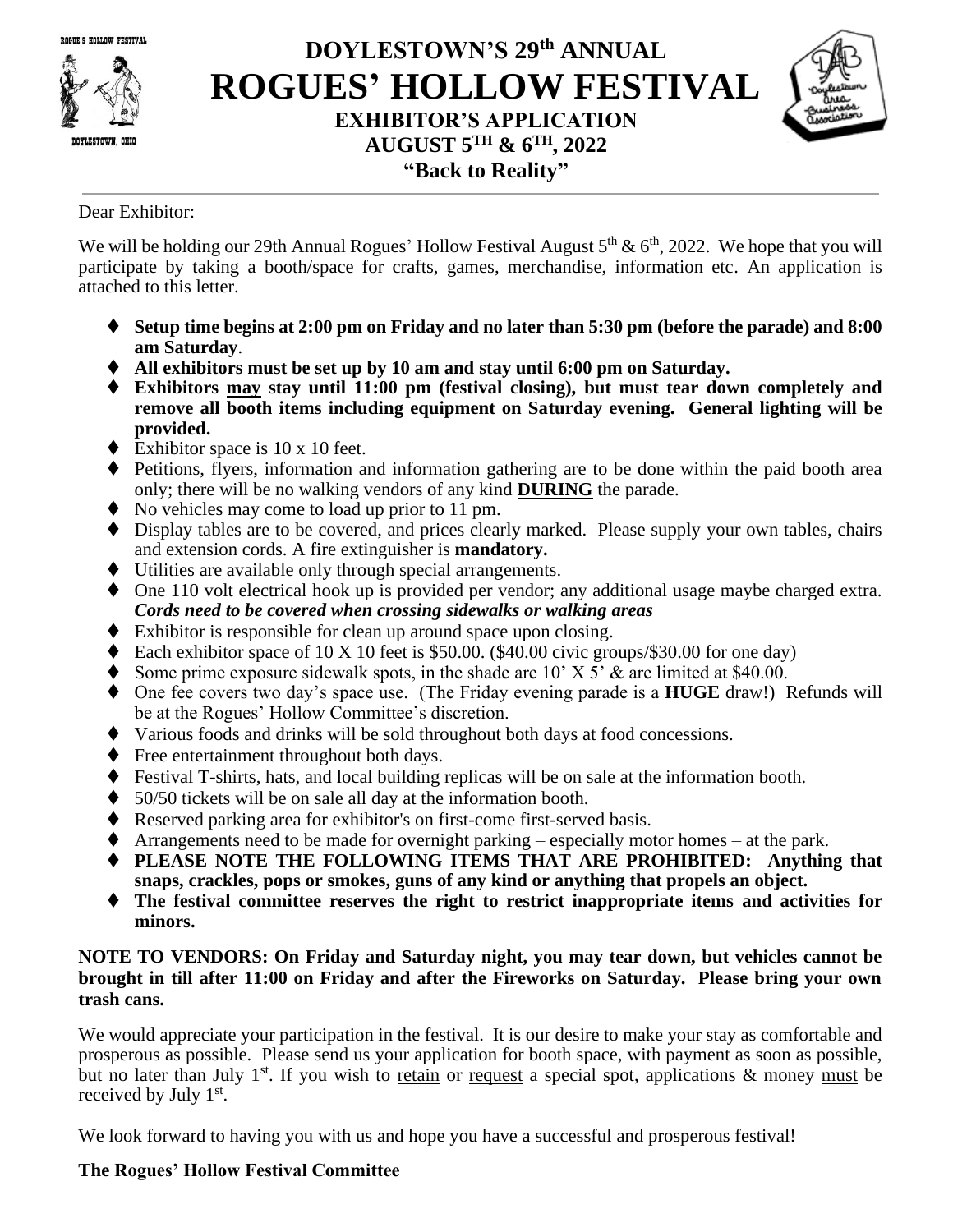ROGUE'S HOLLOW FESTIVAL



## **DOYLESTOWN'S 29 th ANNUAL ROGUES' HOLLOW FESTIVAL EXHIBITOR'S APPLICATION AUGUST 5 TH & 6 TH, 2022 "Back to Reality"**



Dear Exhibitor:

We will be holding our 29th Annual Rogues' Hollow Festival August  $5<sup>th</sup>$  &  $6<sup>th</sup>$ , 2022. We hope that you will participate by taking a booth/space for crafts, games, merchandise, information etc. An application is attached to this letter.

- ⧫ **Setup time begins at 2:00 pm on Friday and no later than 5:30 pm (before the parade) and 8:00 am Saturday**.
- ◆ All exhibitors must be set up by 10 am and stay until 6:00 pm on Saturday.
- ⧫ **Exhibitors may stay until 11:00 pm (festival closing), but must tear down completely and remove all booth items including equipment on Saturday evening. General lighting will be provided.**
- $\blacklozenge$  Exhibitor space is 10 x 10 feet.
- ◆ Petitions, flyers, information and information gathering are to be done within the paid booth area only; there will be no walking vendors of any kind **DURING** the parade.
- ◆ No vehicles may come to load up prior to 11 pm.
- ◆ Display tables are to be covered, and prices clearly marked. Please supply your own tables, chairs and extension cords. A fire extinguisher is **mandatory.**
- ⧫ Utilities are available only through special arrangements.
- ◆ One 110 volt electrical hook up is provided per vendor; any additional usage maybe charged extra. *Cords need to be covered when crossing sidewalks or walking areas*
- ◆ Exhibitor is responsible for clean up around space upon closing.
- $\blacklozenge$  Each exhibitor space of 10 X 10 feet is \$50.00. (\$40.00 civic groups/\$30.00 for one day)
- ♦ Some prime exposure sidewalk spots, in the shade are  $10'$  X  $5'$  & are limited at \$40.00.
- ⧫ One fee covers two day's space use. (The Friday evening parade is a **HUGE** draw!) Refunds will be at the Rogues' Hollow Committee's discretion.
- ⧫ Various foods and drinks will be sold throughout both days at food concessions.
- ♦ Free entertainment throughout both days.
- ⧫ Festival T-shirts, hats, and local building replicas will be on sale at the information booth.
- ⧫ 50/50 tickets will be on sale all day at the information booth.
- ◆ Reserved parking area for exhibitor's on first-come first-served basis.
- $\blacklozenge$  Arrangements need to be made for overnight parking especially motor homes at the park.
- ⧫ **PLEASE NOTE THE FOLLOWING ITEMS THAT ARE PROHIBITED: Anything that snaps, crackles, pops or smokes, guns of any kind or anything that propels an object.**
- ⧫ **The festival committee reserves the right to restrict inappropriate items and activities for minors.**

## **NOTE TO VENDORS: On Friday and Saturday night, you may tear down, but vehicles cannot be brought in till after 11:00 on Friday and after the Fireworks on Saturday. Please bring your own trash cans.**

We would appreciate your participation in the festival. It is our desire to make your stay as comfortable and prosperous as possible. Please send us your application for booth space, with payment as soon as possible, but no later than July 1<sup>st</sup>. If you wish to retain or request a special spot, applications  $\&$  money must be received by July 1<sup>st</sup>.

We look forward to having you with us and hope you have a successful and prosperous festival!

## **The Rogues' Hollow Festival Committee**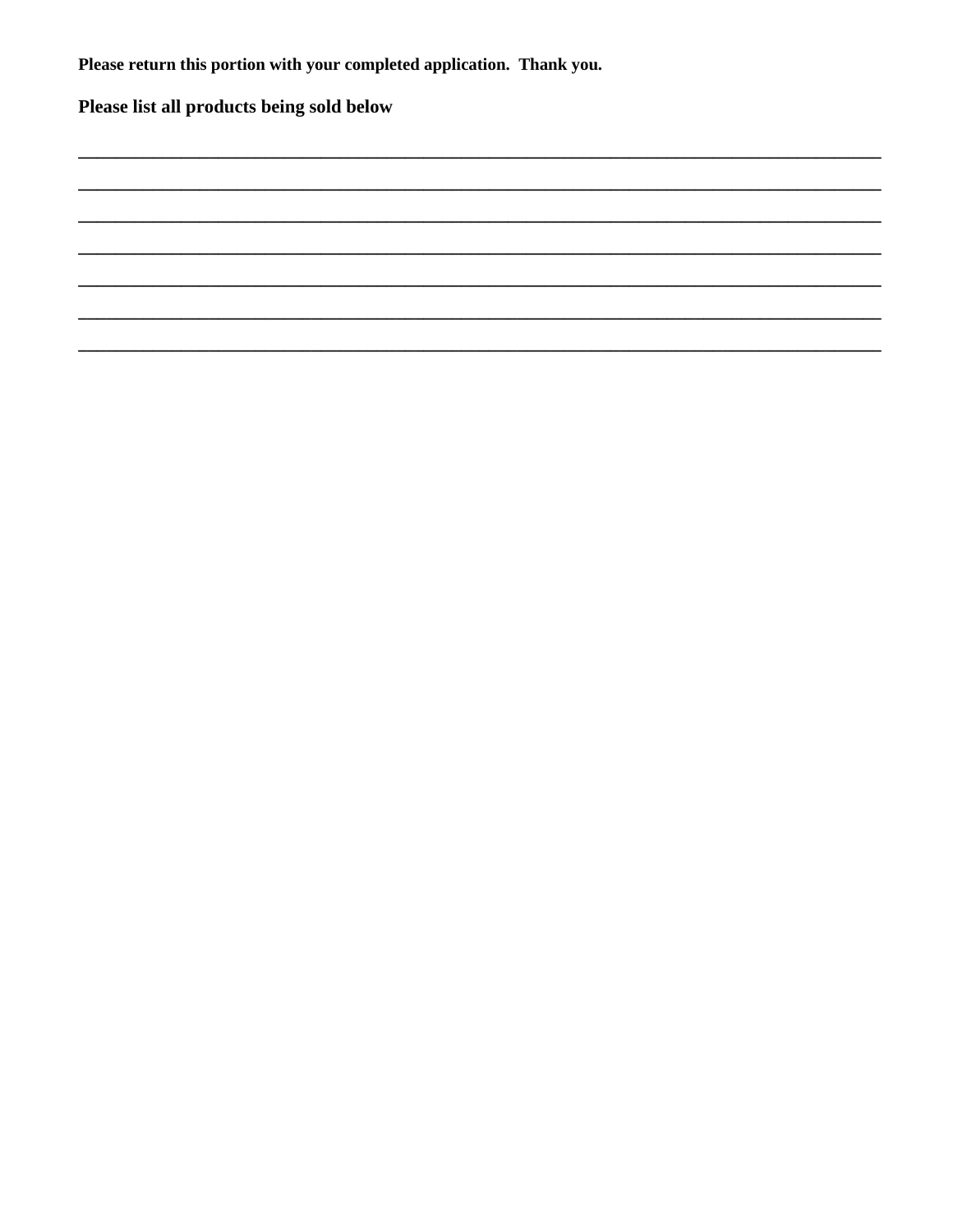Please return this portion with your completed application. Thank you.

Please list all products being sold below